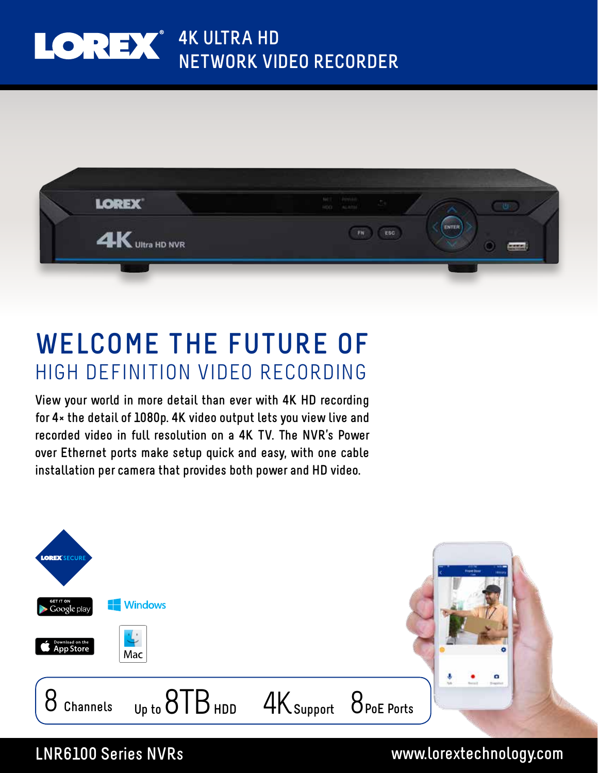## LOREX<sup>®</sup> 4K ULTRA HD **NETWORK VIDEO RECORDER**



## **WELCOME THE FUTURE OF** HIGH DEFINITION VIDEO RECORDING

**View your world in more detail than ever with 4K HD recording for 4× the detail of 1080p. 4K video output lets you view live and recorded video in full resolution on a 4K TV. The NVR's Power over Ethernet ports make setup quick and easy, with one cable installation per camera that provides both power and HD video.**



### **LNR6100 Series NVRs www.lorextechnology.com**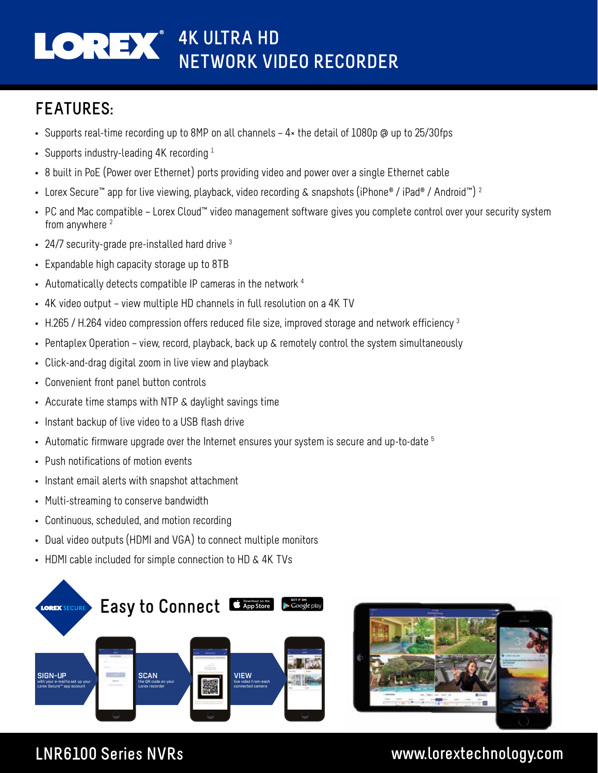## **4K ULTRA HD NETWORK VIDEO RECORDER**

## **FEATURES:**

- Supports real-time recording up to 8MP on all channels 4× the detail of 1080p @ up to 25/30fps
- Supports industry-leading 4K recording  $1$
- 8 built in PoE (Power over Ethernet) ports providing video and power over a single Ethernet cable
- Lorex Secure™ app for live viewing, playback, video recording & snapshots (iPhone® / iPad® / Android™) <sup>2</sup>
- PC and Mac compatible Lorex Cloud™ video management software gives you complete control over your security system from anywhere 2
- 24/7 security-grade pre-installed hard drive <sup>3</sup>
- Expandable high capacity storage up to 8TB
- Automatically detects compatible IP cameras in the network 4
- 4K video output view multiple HD channels in full resolution on a 4K TV
- H.265 / H.264 video compression offers reduced file size, improved storage and network efficiency  $3$
- Pentaplex Operation view, record, playback, back up & remotely control the system simultaneously
- Click-and-drag digital zoom in live view and playback
- Convenient front panel button controls
- Accurate time stamps with NTP & daylight savings time
- Instant backup of live video to a USB flash drive
- Automatic firmware upgrade over the Internet ensures your system is secure and up-to-date  $5$
- Push notifications of motion events
- Instant email alerts with snapshot attachment
- Multi-streaming to conserve bandwidth
- Continuous, scheduled, and motion recording
- Dual video outputs (HDMI and VGA) to connect multiple monitors
- HDMI cable included for simple connection to HD & 4K TVs





### **LNR6100 Series NVRs www.lorextechnology.com**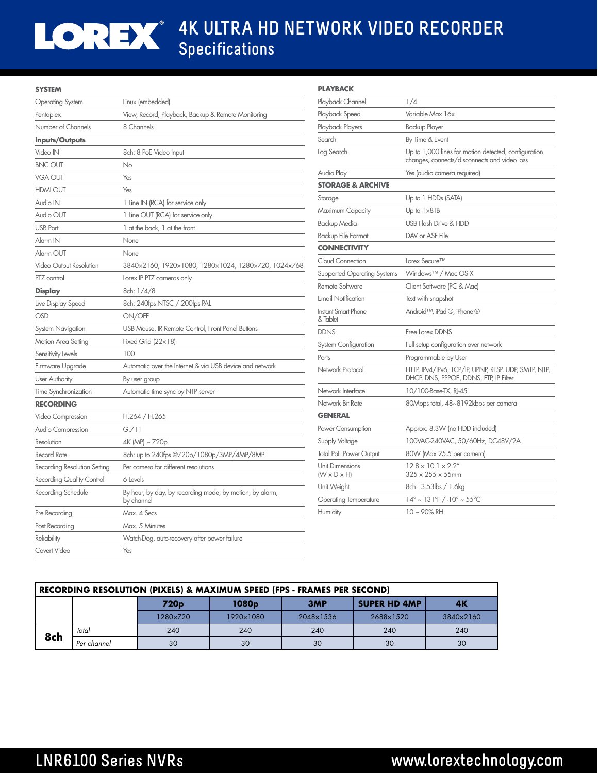# LOREX

## **4K ULTRA HD NETWORK VIDEO RECORDER Specifications**

| <b>SYSTEM</b>                    |                                                          | <b>PLAYBACK</b>                 |                                                                                                      |  |
|----------------------------------|----------------------------------------------------------|---------------------------------|------------------------------------------------------------------------------------------------------|--|
| <b>Operating System</b>          | Linux (embedded)                                         | Playback Channel                | 1/4                                                                                                  |  |
| Pentaplex                        | View, Record, Playback, Backup & Remote Monitoring       | Playback Speed                  | Variable Max 16x                                                                                     |  |
| Number of Channels               | 8 Channels                                               | Playback Players                | <b>Backup Player</b>                                                                                 |  |
| Inputs/Outputs                   |                                                          | Search                          | By Time & Event                                                                                      |  |
| Video IN                         | 8ch: 8 PoE Video Input                                   | Log Search                      | Up to 1,000 lines for motion detected, configuration<br>changes, connects/disconnects and video loss |  |
| <b>BNC OUT</b>                   | No                                                       |                                 |                                                                                                      |  |
| <b>VGA OUT</b>                   | Yes                                                      | Audio Play                      | Yes (audio camera required)                                                                          |  |
| <b>HDMI OUT</b>                  | Yes                                                      | <b>STORAGE &amp; ARCHIVE</b>    |                                                                                                      |  |
| Audio IN                         | 1 Line IN (RCA) for service only                         | Storage                         | Up to 1 HDDs (SATA)                                                                                  |  |
| Audio OUT                        | 1 Line OUT (RCA) for service only                        | Maximum Capacity                | Up to $1\times 8$ TB                                                                                 |  |
| <b>USB Port</b>                  | 1 at the back, 1 at the front                            | Backup Media                    | USB Flash Drive & HDD                                                                                |  |
| Alarm IN                         | None                                                     | <b>Backup File Format</b>       | DAV or ASF File                                                                                      |  |
| Alarm OUT                        | None                                                     | <b>CONNECTIVITY</b>             |                                                                                                      |  |
| Video Output Resolution          | 3840x2160, 1920x1080, 1280x1024, 1280x720, 1024x768      | Cloud Connection                | Lorex Secure™                                                                                        |  |
| PTZ control                      | Lorex IP PTZ cameras only                                | Supported Operating Systems     | Windows <sup>™</sup> / Mac OS X                                                                      |  |
| <b>Display</b>                   | 8ch: 1/4/8                                               | Remote Software                 | Client Software (PC & Mac)                                                                           |  |
| Live Display Speed               | 8ch: 240fps NTSC / 200fps PAL                            | <b>Email Notification</b>       | Text with snapshot                                                                                   |  |
| <b>OSD</b>                       | ON/OFF                                                   | Instant Smart Phone<br>& Tablet | Android™, iPad ®, iPhone ®                                                                           |  |
| <b>System Navigation</b>         | USB Mouse, IR Remote Control, Front Panel Buttons        | <b>DDNS</b>                     | Free Lorex DDNS                                                                                      |  |
| Motion Area Setting              | Fixed Grid $(22 \times 18)$                              | System Configuration            | Full setup configuration over network                                                                |  |
| Sensitivity Levels               | 100                                                      | Ports                           | Programmable by User                                                                                 |  |
| Firmware Upgrade                 | Automatic over the Internet & via USB device and network | Network Protocol                | HTTP, IPv4/IPv6, TCP/IP, UPNP, RTSP, UDP, SMTP, NTP,                                                 |  |
| <b>User Authority</b>            | By user group                                            |                                 | DHCP, DNS, PPPOE, DDNS, FTP, IP Filter                                                               |  |
| Time Synchronization             | Automatic time sync by NTP server                        | Network Interface               | 10/100-Base-TX, RJ-45                                                                                |  |
| <b>RECORDING</b>                 |                                                          | Network Bit Rate                | 80Mbps total, 48~8192kbps per camera                                                                 |  |
| Video Compression                | H.264 / H.265                                            | <b>GENERAL</b>                  |                                                                                                      |  |
| Audio Compression                | G.711                                                    | Power Consumption               | Approx. 8.3W (no HDD included)                                                                       |  |
| Resolution                       | 4K (MP) ~ 720p                                           | Supply Voltage                  | 100VAC-240VAC, 50/60Hz, DC48V/2A                                                                     |  |
| <b>Record Rate</b>               | 8ch: up to 240fps @720p/1080p/3MP/4MP/8MP                | <b>Total PoE Power Output</b>   | 80W (Max 25.5 per camera)                                                                            |  |
| Recording Resolution Setting     | Per camera for different resolutions                     | Unit Dimensions                 | $12.8 \times 10.1 \times 2.2$ "                                                                      |  |
| <b>Recording Quality Control</b> | 6 Levels                                                 | $(W \times D \times H)$         | $325 \times 255 \times 55$ mm                                                                        |  |
| Recording Schedule               | By hour, by day, by recording mode, by motion, by alarm, | Unit Weight                     | 8ch: 3.53lbs / 1.6kg                                                                                 |  |
|                                  | by channel                                               | <b>Operating Temperature</b>    | $14^{\circ}$ ~ 131°F / -10° ~ 55°C                                                                   |  |
| Pre Recording                    | Max. 4 Secs                                              | Humidity                        | 10~90% RH                                                                                            |  |
| Post Recording                   | Max. 5 Minutes                                           |                                 |                                                                                                      |  |
| Reliability                      | Watch-Dog, auto-recovery after power failure             |                                 |                                                                                                      |  |
| Covert Video                     | Yes                                                      |                                 |                                                                                                      |  |

| RECORDING RESOLUTION (PIXELS) & MAXIMUM SPEED (FPS - FRAMES PER SECOND) |               |                  |                   |           |                     |                |  |  |
|-------------------------------------------------------------------------|---------------|------------------|-------------------|-----------|---------------------|----------------|--|--|
|                                                                         |               | 720 <sub>p</sub> | 1080 <sub>p</sub> | 3MP       | <b>SUPER HD 4MP</b> | 4 <sub>K</sub> |  |  |
|                                                                         |               | 1280×720         | 1920×1080         | 2048×1536 | 2688×1520           | 3840×2160      |  |  |
| 8ch                                                                     | Total         | 240              | 240               | 240       | 240                 | 240            |  |  |
|                                                                         | . Per channel | 30               | 30                | 30        | 30                  | 30             |  |  |

## **LNR6100 Series NVRs www.lorextechnology.com**